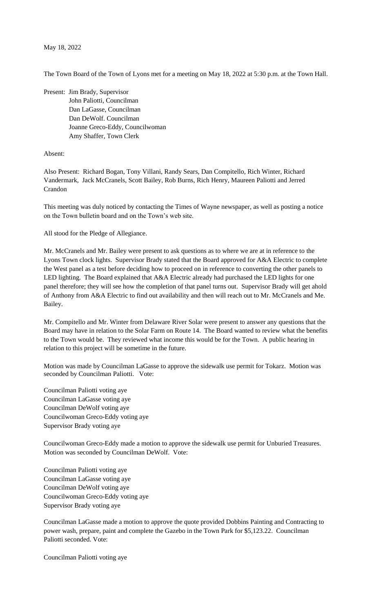The Town Board of the Town of Lyons met for a meeting on May 18, 2022 at 5:30 p.m. at the Town Hall.

Present: Jim Brady, Supervisor John Paliotti, Councilman Dan LaGasse, Councilman Dan DeWolf. Councilman Joanne Greco-Eddy, Councilwoman Amy Shaffer, Town Clerk

## Absent:

Also Present: Richard Bogan, Tony Villani, Randy Sears, Dan Compitello, Rich Winter, Richard Vandermark, Jack McCranels, Scott Bailey, Rob Burns, Rich Henry, Maureen Paliotti and Jerred Crandon

This meeting was duly noticed by contacting the Times of Wayne newspaper, as well as posting a notice on the Town bulletin board and on the Town's web site.

All stood for the Pledge of Allegiance.

Mr. McCranels and Mr. Bailey were present to ask questions as to where we are at in reference to the Lyons Town clock lights. Supervisor Brady stated that the Board approved for A&A Electric to complete the West panel as a test before deciding how to proceed on in reference to converting the other panels to LED lighting. The Board explained that A&A Electric already had purchased the LED lights for one panel therefore; they will see how the completion of that panel turns out. Supervisor Brady will get ahold of Anthony from A&A Electric to find out availability and then will reach out to Mr. McCranels and Me. Bailey.

Mr. Compitello and Mr. Winter from Delaware River Solar were present to answer any questions that the Board may have in relation to the Solar Farm on Route 14. The Board wanted to review what the benefits to the Town would be. They reviewed what income this would be for the Town. A public hearing in relation to this project will be sometime in the future.

Motion was made by Councilman LaGasse to approve the sidewalk use permit for Tokarz. Motion was seconded by Councilman Paliotti. Vote:

Councilman Paliotti voting aye Councilman LaGasse voting aye Councilman DeWolf voting aye Councilwoman Greco-Eddy voting aye Supervisor Brady voting aye

Councilwoman Greco-Eddy made a motion to approve the sidewalk use permit for Unburied Treasures. Motion was seconded by Councilman DeWolf. Vote:

Councilman Paliotti voting aye Councilman LaGasse voting aye Councilman DeWolf voting aye Councilwoman Greco-Eddy voting aye Supervisor Brady voting aye

Councilman LaGasse made a motion to approve the quote provided Dobbins Painting and Contracting to power wash, prepare, paint and complete the Gazebo in the Town Park for \$5,123.22. Councilman Paliotti seconded. Vote:

Councilman Paliotti voting aye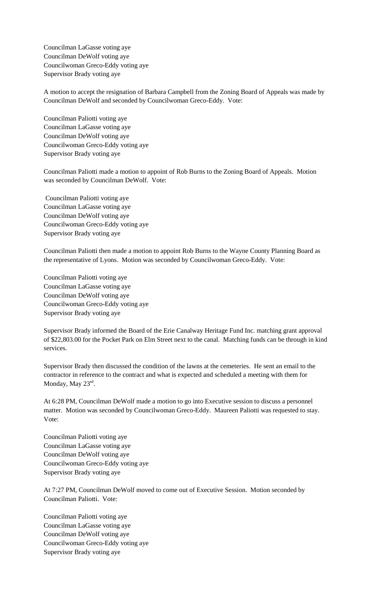Councilman LaGasse voting aye Councilman DeWolf voting aye Councilwoman Greco-Eddy voting aye Supervisor Brady voting aye

A motion to accept the resignation of Barbara Campbell from the Zoning Board of Appeals was made by Councilman DeWolf and seconded by Councilwoman Greco-Eddy. Vote:

Councilman Paliotti voting aye Councilman LaGasse voting aye Councilman DeWolf voting aye Councilwoman Greco-Eddy voting aye Supervisor Brady voting aye

Councilman Paliotti made a motion to appoint of Rob Burns to the Zoning Board of Appeals. Motion was seconded by Councilman DeWolf. Vote:

Councilman Paliotti voting aye Councilman LaGasse voting aye Councilman DeWolf voting aye Councilwoman Greco-Eddy voting aye Supervisor Brady voting aye

Councilman Paliotti then made a motion to appoint Rob Burns to the Wayne County Planning Board as the representative of Lyons. Motion was seconded by Councilwoman Greco-Eddy. Vote:

Councilman Paliotti voting aye Councilman LaGasse voting aye Councilman DeWolf voting aye Councilwoman Greco-Eddy voting aye Supervisor Brady voting aye

Supervisor Brady informed the Board of the Erie Canalway Heritage Fund Inc. matching grant approval of \$22,803.00 for the Pocket Park on Elm Street next to the canal. Matching funds can be through in kind services.

Supervisor Brady then discussed the condition of the lawns at the cemeteries. He sent an email to the contractor in reference to the contract and what is expected and scheduled a meeting with them for Monday, May 23<sup>rd</sup>.

At 6:28 PM, Councilman DeWolf made a motion to go into Executive session to discuss a personnel matter. Motion was seconded by Councilwoman Greco-Eddy. Maureen Paliotti was requested to stay. Vote:

Councilman Paliotti voting aye Councilman LaGasse voting aye Councilman DeWolf voting aye Councilwoman Greco-Eddy voting aye Supervisor Brady voting aye

At 7:27 PM, Councilman DeWolf moved to come out of Executive Session. Motion seconded by Councilman Paliotti. Vote:

Councilman Paliotti voting aye Councilman LaGasse voting aye Councilman DeWolf voting aye Councilwoman Greco-Eddy voting aye Supervisor Brady voting aye